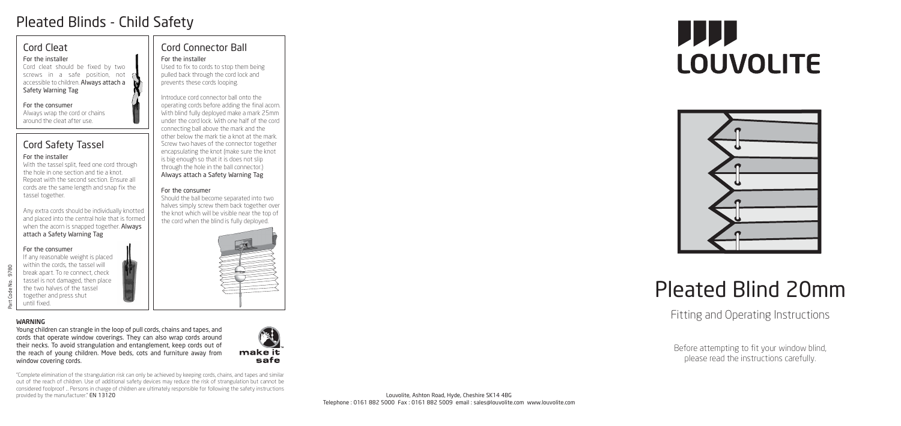



# Pleated Blinds - Child Safety

Part Code No. 9780

9780 Š

WARNING

Young children can strangle in the loop of pull cords, chains and tapes, and cords that operate window coverings. They can also wrap cords around their necks. To avoid strangulation and entanglement, keep cords out of the reach of young children. Move beds, cots and furniture away from



With the tassel split, feed one cord through the hole in one section and tie a knot. Repeat with the second section. Ensure all cords are the same length and snap fix the tassel together.

window covering cords.

# Pleated Blind 20mm

# Fitting and Operating Instructions

Before attempting to fit your window blind, please read the instructions carefully.

# Cord Safety Tassel

#### For the installer

Any extra cords should be individually knotted and placed into the central hole that is formed when the acorn is snapped together. Always attach a Safety Warning Tag

#### For the consumer

If any reasonable weight is placed within the cords, the tassel will break apart. To re connect, check tassel is not damaged, then place the two halves of the tassel together and press shut until fixed.

# Cord Connector Ball

#### For the installer

Used to fix to cords to stop them being pulled back through the cord lock and prevents these cords looping.

Introduce cord connector ball onto the operating cords before adding the final acorn. With blind fully deployed make a mark 25mm under the cord lock. With one half of the cord connecting ball above the mark and the other below the mark tie a knot at the mark. Screw two haves of the connector together encapsulating the knot (make sure the knot is big enough so that it is does not slip through the hole in the ball connector.) Always attach a Safety Warning Tag

#### For the consumer

Should the ball become separated into two halves simply screw them back together over the knot which will be visible near the top of the cord when the blind is fully deployed.



#### Cord Cleat

#### For the installer

Cord cleat should be fixed by two screws in a safe position, not accessible to children. Always attach a Safety Warning Tag

#### For the consumer

Always wrap the cord or chains around the cleat after use.

"Complete elimination of the strangulation risk can only be achieved by keeping cords, chains, and tapes and similar out of the reach of children. Use of additional safety devices may reduce the risk of strangulation but cannot be considered foolproof ... Persons in charge of children are ultimately responsible for following the safety instructions provided by the manufacturer." EN 13120